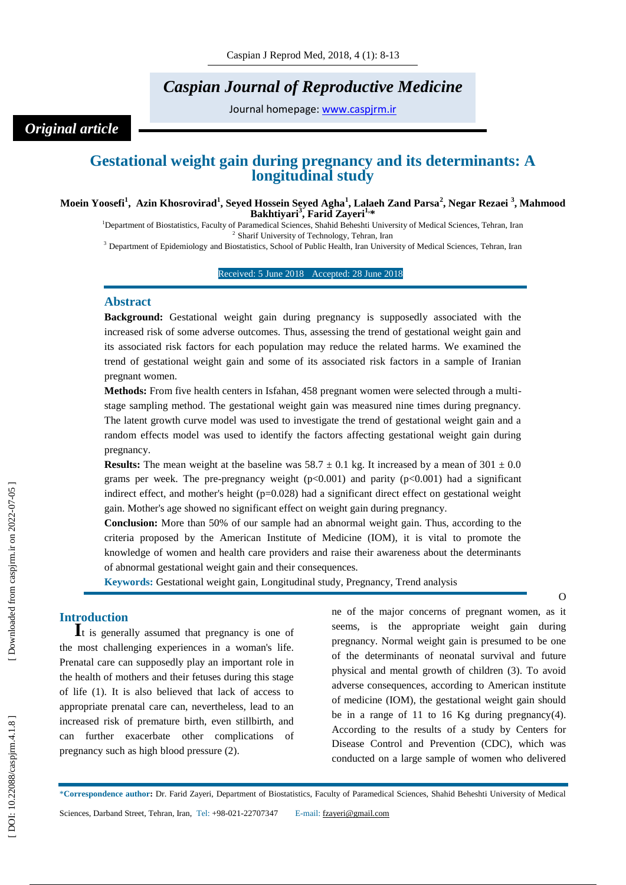# *Caspian Journal of Reproductive Medicine*

Journal homepage: [www.caspjrm.ir](http://www.caspjrm.ir/)

## *Original article*

## **Gestational weight gain during pregnancy and its determinants: A longitudinal study**

#### **Moein Yoosefi 1 , Azin Khosrovirad 1 , Seyed Hossein Seyed Agha 1 , Lalaeh Zand Parsa 2 , Negar Rezaei 3 , Mahmood Bakhtiyari 3 , Farid Zayeri1, \***

<sup>1</sup>Department of Biostatistics, Faculty of Paramedical Sciences, Shahid Beheshti University of Medical Sciences, Tehran, Iran 2 Sharif University of Technology, Tehran, Iran

<sup>3</sup> Department of Epidemiology and Biostatistics, School of Public Health, Iran University of Medical Sciences, Tehran, Iran

#### Received: 5 June 2018 Accepted: 28 June 2018 1

#### **Abstract**

**Background:** Gestational weight gain during pregnancy is supposedly associated with the increased risk of some adverse outcomes. Thus, assessing the trend of gestational weight gain and its associated risk factors for each population may reduce the related harms. We examined the trend of gestational weight gain and some of its associated risk factors in a sample of Iranian pregnant women.

Methods: From five health centers in Isfahan, 458 pregnant women were selected through a multistage sampling method. The gestational weight gain was measured nine times during pregnancy. The latent growth curve model was used to investigate the trend of gestational weight gain and a random effects model was used to identify the factors affecting gestational weight gain during pregnancy.

**Results:** The mean weight at the baseline was  $58.7 \pm 0.1$  kg. It increased by a mean of  $301 \pm 0.0$ grams per week. The pre-pregnancy weight  $(p<0.001)$  and parity  $(p<0.001)$  had a significant indirect effect, and mother's height (p=0.028) had a significant direct effect on gestational weight gain. Mother's age showed no significant effect on weight gain during pregnancy.

**Conclusion:** More than 50% of our sample had an abnormal weight gain. Thus, according to the criteria proposed by the American Institute of Medicine (IOM), it is vital to promote the knowledge of women and health care providers and raise their awareness about the determinants of abnormal gestational weight gain and their consequences.

**Keywords:** Gestational weight gain, Longitudinal study , Pregnancy, Trend analysis

**Introduction**<br>**I**t is generally assumed that pregnancy is one of the most challenging experiences in a woman's life. Prenatal care can supposedly play an important role in the health of mothers and their fetuses during this stage of life (1). It is also believed that lack of access to appropriate prenatal care can, nevertheless, lead to an increased risk of premature birth, even stillbirth, and can further exacerbate other complications of pregnancy such as high blood pressure (2).

ne of the major concerns of pregnant women, as it seems, is the appropriate weight gain during pregnancy. Normal weight gain is presumed to be one of the determinants of neonatal survival and future physical and mental growth of children (3). To avoid adverse consequences, according to American institute of medicine (IOM), the gestational weight gain should be in a range of 11 to 16 Kg during pregnancy $(4)$ . According to the results of a study by Centers for Disease Control and Prevention (CDC), which was conducted on a large sample of women who delivered

\***Correspondence author :** Dr. Farid Zayeri, Department of Biostatistics, Faculty of Paramedical Sciences, Shahid Beheshti University of Medical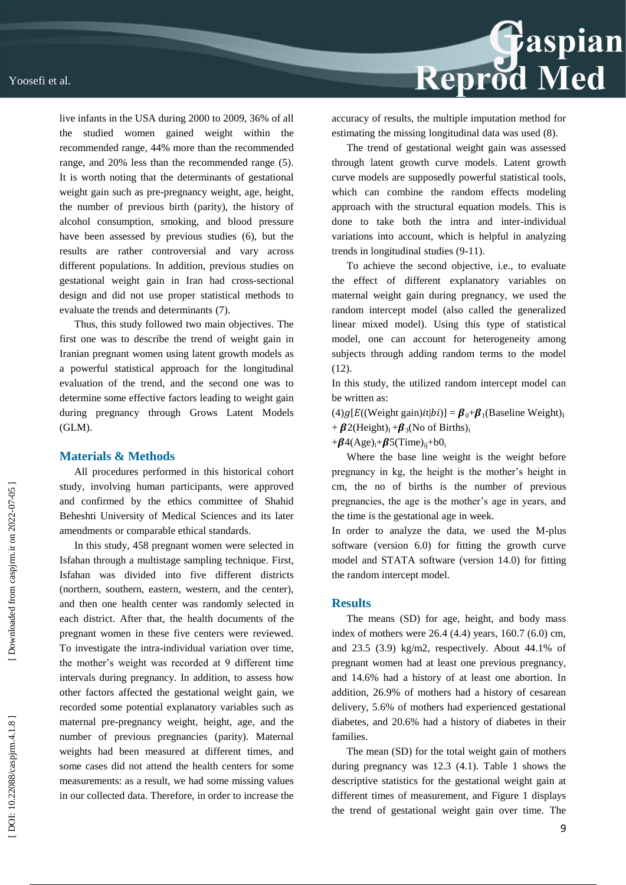

Thus, this study followed two main objectives. The first one was to describe the trend of weight gain in Iranian pregnant women using latent growth models as a powerful statistical approach for the longitudinal evaluation of the trend, and the second one was to determine some effective factors leading to weight gain during pregnancy through Grows Latent Models (GLM).

#### **Materials & Methods**

All procedures performed in this historical cohort study, involving human participants, were approved and confirmed by the ethics committee of Shahid Beheshti University of Medical Sciences and its later amendments or comparable ethical standards.

In this study, 458 pregnant women were selected in Isfahan through a multistage sampling technique. First, Isfahan was divided into five different districts (northern, southern, eastern, western, and the center), and then one health center was randomly selected in each district. After that, the health documents of the pregnant women in these five centers were reviewed. To investigate the intra -individual variation over time, the mother's weight was recorded at 9 different time intervals during pregnancy. In addition, to assess how other factors affected the gestational weight gain, we recorded some potential explanatory variables such as maternal pre -pregnancy weight, height, age, and the number of previous pregnancies (parity). Maternal weights had been measured at different times, and some cases did not attend the health centers for some measurements: as a result, we had some missing values in our collected data. Therefore, in order to increase the



accuracy of results, the multiple imputation method for estimating the missing longitudinal data was used (8).

The trend of gestational weight gain was assessed through latent growth curve models. Latent growth curve models are supposedly powerful statistical tools, which can combine the random effects modeling approach with the structural equation models. This is done to take both the intra and inter -individual variations into account, which is helpful in analyzing trends in longitudinal studies (9 -11).

To achieve the second objective, i.e., to evaluate the effect of different explanatory variables on maternal weight gain during pregnancy, we used the random intercept model (also called the generalized linear mixed model). Using this type of statistical model, one can account for heterogeneity among subjects through adding random terms to the model (12).

In this study, the utilized random intercept model can be written as:

(4)g[E((Weight gain) $it|bi$ )] =  $\beta_0 + \beta_1$ (Baseline Weight)<sub>I</sub> +  $\beta$ 2(Height)<sub>I</sub> + $\beta$ <sub>3</sub>(No of Births)<sub>i</sub>

 $+\beta$ 4(Age)<sub>i</sub>+ $\beta$ 5(Time)<sub>ij</sub>+b0<sub>i</sub>

Where the base line weight is the weight before pregnancy in kg, the height is the mother's height in cm, the no of births is the number of previous pregnancies, the age is the mother's age in years, and the time is the gestational age in week.

In order to analyze the data, we used the M -plus software (version 6.0) for fitting the growth curve model and STATA software (version 14.0) for fitting the random intercept model.

#### **Results**

The means (SD) for age, height, and body mass index of mothers were 26.4 (4.4) years, 160.7 (6.0) cm, and 23.5 (3.9) kg/m2, respectively. About 44.1% of pregnant women had at least one previous pregnancy, and 14.6% had a history of at least one abortion. In addition, 26.9% of mothers had a history of cesarean delivery, 5.6% of mothers had experienced gestational diabetes, and 20.6% had a history of diabetes in their families.

The mean (SD) for the total weight gain of mothers during pregnancy was 12.3 (4.1). Table 1 shows the descriptive statistics for the gestational weight gain at different times of measurement, and Figure 1 displays the trend of gestational weight gain over time. The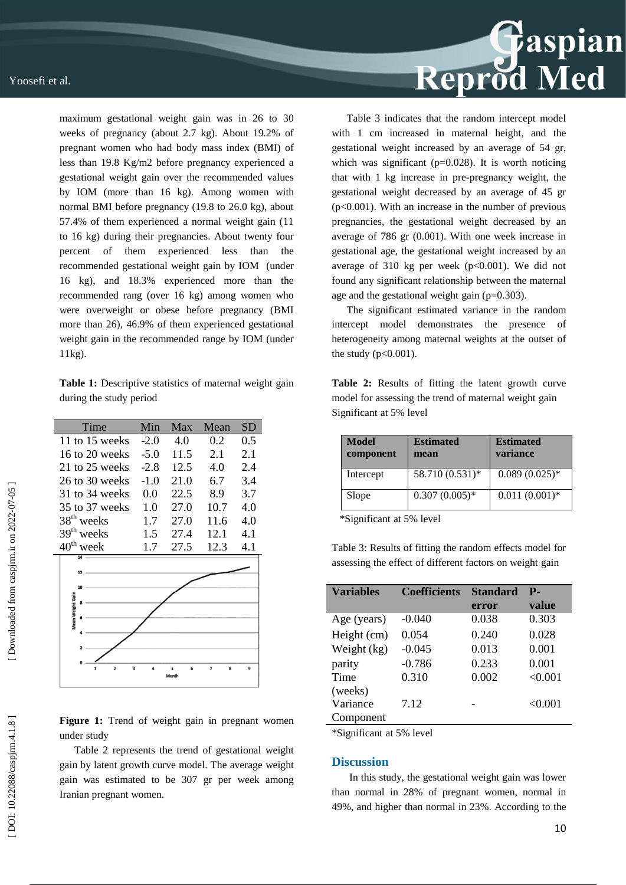maximum gestational weight gain was in 26 to 30 weeks of pregnancy (about 2.7 kg). About 19.2% of pregnant women who had body mass index (BMI) of less than 19.8 Kg/m2 before pregnancy experienced a gestational weight gain over the recommended values by IOM (more than 16 kg). Among women with normal BMI before pregnancy (19.8 to 26.0 kg), about 57.4% of them experienced a normal weight gain (11 to 16 kg) during their pregnancies. About twenty four percent of them experienced less than the recommended gestational weight gain by IOM (under 16 kg), and 18.3% experienced more than the recommended rang (over 16 kg) among women who were overweight or obese before pregnancy (BMI more than 26), 46.9% of them experienced gestational weight gain in the recommended range by IOM (under 11kg).

**Table 1:** Descriptive statistics of maternal weight gain during the study period

| Time                                         | Min    | Max    | Mean                          | SD  |
|----------------------------------------------|--------|--------|-------------------------------|-----|
| 11 to 15 weeks                               | $-2.0$ | 4.0    | 0.2                           | 0.5 |
| 16 to 20 weeks                               | $-5.0$ | 11.5   | 2.1                           | 2.1 |
| 21 to 25 weeks                               | $-2.8$ | 12.5   | 4.0                           | 2.4 |
| 26 to 30 weeks                               | $-1.0$ | 21.0   | 6.7                           | 3.4 |
| $31$ to $34$ weeks                           | 0.0    | 22.5   | 8.9                           | 3.7 |
| 35 to 37 weeks                               | 1.0    | 27.0   | 10.7                          | 4.0 |
| 38 <sup>th</sup> weeks                       | 1.7    | 27.0   | 11.6                          | 4.0 |
| 39 <sup>th</sup> weeks                       | 1.5    | 27.4   | 12.1                          | 4.1 |
| $40^{\text{th}}$ week                        | 1.7    | 27.5   | 12.3                          | 4.1 |
| 12<br>10                                     |        |        |                               |     |
| Mean Weight Gain                             |        |        |                               |     |
| $\overline{\mathbf{2}}$<br>$\mathbf{1}$<br>3 |        | 5<br>6 | $\overline{\phantom{a}}$<br>8 | 9   |

Figure 1: Trend of weight gain in pregnant women under study

Table 2 represents the trend of gestational weight gain by latent growth curve model. The average weight gain was estimated to be 307 gr per week among Iranian pregnant women.



Table 3 indicates that the random intercept model with 1 cm increased in maternal height, and the gestational weight increased by an average of 54 gr, which was significant ( $p=0.028$ ). It is worth noticing that with 1 kg increase in pre -pregnancy weight, the gestational weight decreased by an average of 45 gr  $(p<0.001)$ . With an increase in the number of previous pregnancies, the gestational weight decreased by an average of 786 gr (0.001). With one week increase in gestational age, the gestational weight increased by an average of 310 kg per week  $(p<0.001)$ . We did not found any significant relationship between the maternal age and the gestational weight gain  $(p=0.303)$ .

The significant estimated variance in the random intercept model demonstrates the presence of heterogeneity among maternal weights at the outset of the study  $(p<0.001)$ .

**Table 2:** Results of fitting the latent growth curve model for assessing the trend of maternal weight gain Significant at 5% level

| <b>Model</b><br>component | <b>Estimated</b><br>mean | <b>Estimated</b><br>variance |
|---------------------------|--------------------------|------------------------------|
| Intercept                 | 58.710 (0.531)*          | $0.089(0.025)*$              |
| Slope                     | $0.307(0.005)*$          | $0.011(0.001)*$              |

\*Significant at 5% level

Table 3: Results of fitting the random effects model for assessing the effect of different factors on weight gain

| <b>Variables</b> | <b>Coefficients</b> | <b>Standard</b> | Р.      |
|------------------|---------------------|-----------------|---------|
|                  |                     | error           | value   |
| Age (years)      | $-0.040$            | 0.038           | 0.303   |
| Height (cm)      | 0.054               | 0.240           | 0.028   |
| Weight (kg)      | $-0.045$            | 0.013           | 0.001   |
| parity           | $-0.786$            | 0.233           | 0.001   |
| Time             | 0.310               | 0.002           | < 0.001 |
| (weeks)          |                     |                 |         |
| Variance         | 7.12                |                 | < 0.001 |
| Component        |                     |                 |         |
|                  |                     |                 |         |

\*Significant at 5% level

#### **Discussion**

In this study, the gestational weight gain was lower than normal in 28% of pregnant women, normal in 49%, and higher than normal in 23%. According to the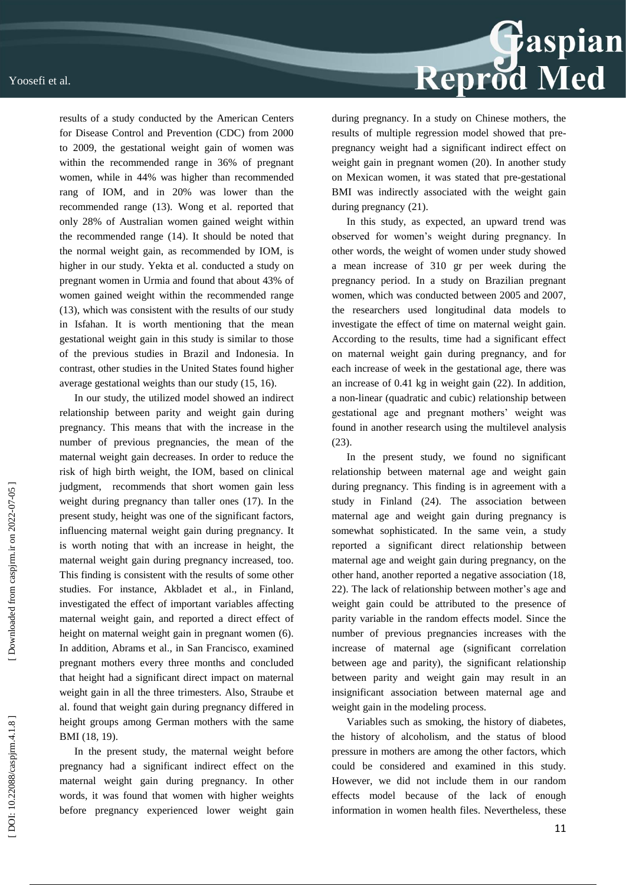

results of a study conducted by the American Centers for Disease Control and Prevention (CDC) from 2000 to 2009, the gestational weight gain of women was within the recommended range in 36% of pregnant women, while in 44% was higher than recommended rang of IOM, and in 20% was lower than the recommended range (13). Wong et al. reported that only 28% of Australian women gained weight within the recommended range (14). It should be noted that the normal weight gain, as recommended by IOM, is higher in our study. Yekta et al. conducted a study on pregnant women in Urmia and found that about 43% of women gained weight within the recommended range (13), which was consistent with the results of our study in Isfahan. It is worth mentioning that the mean gestational weight gain in this study is similar to those of the previous studies in Brazil and Indonesia. In contrast, other studies in the United States found higher average gestational weights than our study (15, 16).

In our study, the utilized model showed an indirect relationship between parity and weight gain during pregnancy. This means that with the increase in the number of previous pregnancies, the mean of the maternal weight gain decreases. In order to reduce the risk of high birth weight, the IOM, based on clinical judgment, recommends that short women gain less weight during pregnancy than taller ones (17). In the present study, height was one of the significant factors, influencing maternal weight gain during pregnancy. It is worth noting that with an increase in height, the maternal weight gain during pregnancy increased, too. This finding is consistent with the results of some other studies. For instance, Akbladet et al., in Finland, investigated the effect of important variables affecting maternal weight gain, and reported a direct effect of height on maternal weight gain in pregnant women (6). In addition, Abrams et al., in San Francisco, examined pregnant mothers every three months and concluded that height had a significant direct impact on maternal weight gain in all the three trimesters. Also, Straube et al. found that weight gain during pregnancy differed in height groups among German mothers with the same BMI (18, 19).

In the present study, the maternal weight before pregnancy had a significant indirect effect on the maternal weight gain during pregnancy. In other words, it was found that women with higher weights before pregnancy experienced lower weight gain during pregnancy. In a study on Chinese mothers, the results of multiple regression model showed that pre pregnancy weight had a significant indirect effect on weight gain in pregnant women (20). In another study on Mexican women, it was stated that pre -gestational BMI was indirectly associated with the weight gain during pregnancy (21).

In this study, as expected, an upward trend was observed for women's weight during pregnancy. In other words, the weight of women under study showed a mean increase of 310 gr per week during the pregnancy period. In a study on Brazilian pregnant women, which was conducted between 2005 and 2007, the researchers used longitudinal data models to investigate the effect of time on maternal weight gain. According to the results, time had a significant effect on maternal weight gain during pregnancy, and for each increase of week in the gestational age, there was an increase of 0.41 kg in weight gain (22). In addition, a non -linear (quadratic and cubic) relationship between gestational age and pregnant mothers' weight was found in another research using the multilevel analysis (23).

In the present study, we found no significant relationship between maternal age and weight gain during pregnancy. This finding is in agreement with a study in Finland (24). The association between maternal age and weight gain during pregnancy is somewhat sophisticated. In the same vein, a study reported a significant direct relationship between maternal age and weight gain during pregnancy, on the other hand, another reported a negative association (18, 22). The lack of relationship between mother's age and weight gain could be attributed to the presence of parity variable in the random effects model. Since the number of previous pregnancies increases with the increase of maternal age (significant correlation between age and parity), the significant relationship between parity and weight gain may result in an insignificant association between maternal age and weight gain in the modeling process.

Variables such as smoking, the history of diabetes, the history of alcoholism, and the status of blood pressure in mothers are among the other factors, which could be considered and examined in this study. However, we did not include them in our random effects model because of the lack of enough information in women health files. Nevertheless, these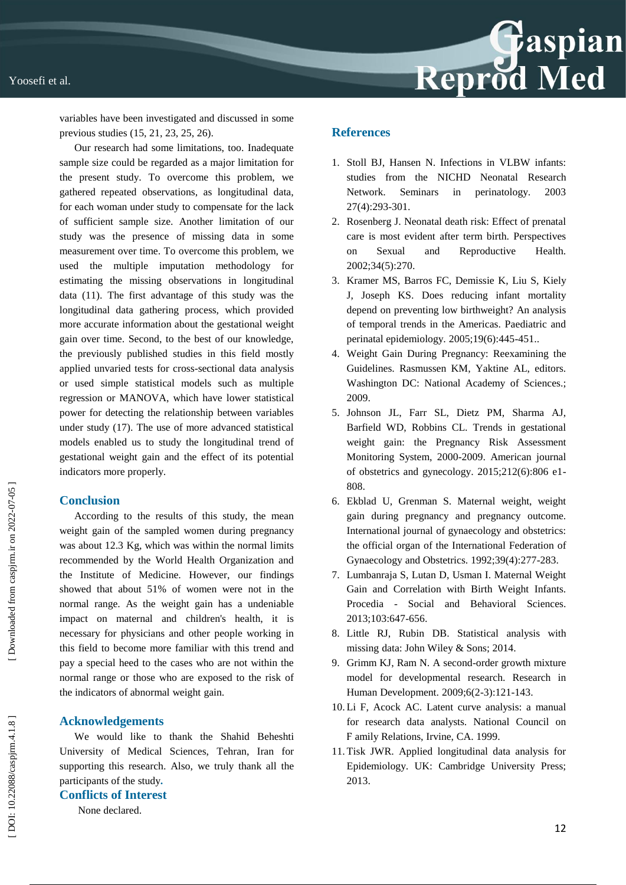

variables have been investigated and discussed in some previous studies (15, 21, 23, 25, 26).

Our research had some limitations, too. Inadequate sample size could be regarded as a major limitation for the present study. To overcome this problem, we gathered repeated observations, as longitudinal data, for each woman under study to compensate for the lack of sufficient sample size. Another limitation of our study was the presence of missing data in some measurement over time. To overcome this problem, we used the multiple imputation methodology for estimating the missing observations in longitudinal data (11). The first advantage of this study was the longitudinal data gathering process, which provided more accurate information about the gestational weight gain over time. Second, to the best of our knowledge, the previously published studies in this field mostly applied unvaried tests for cross -sectional data analysis or used simple statistical models such as multiple regression or MANOVA, which have lower statistical power for detecting the relationship between variables under study (17). The use of more advanced statistical models enabled us to study the longitudinal trend of gestational weight gain and the effect of its potential indicators more properly.

### **Conclusion**

According to the results of this study, the mean weight gain of the sampled women during pregnancy was about 12.3 Kg, which was within the normal limits recommended by the World Health Organization and the Institute of Medicine. However, our findings showed that about 51% of women were not in the normal range. As the weight gain has a undeniable impact on maternal and children's health, it is necessary for physicians and other people working in this field to become more familiar with this trend and pay a special heed to the cases who are not within the normal range or those who are exposed to the risk of the indicators of abnormal weight gain.

### **Acknowledgements**

We would like to thank the Shahid Beheshti University of Medical Sciences, Tehran, Iran for supporting this research . Also, we truly thank all the participants of the study **.**

#### **Conflicts of Interest**

None declared .

## **References**

- 1. Stoll BJ, Hansen N. Infections in VLBW infants: studies from the NICHD Neonatal Research Network. Seminars in perinatology. 2003 27(4):293 -301.
- 2. Rosenberg J. Neonatal death risk: Effect of prenatal care is most evident after term birth. Perspectives on Sexual and Reproductive Health. 2002;34(5):270.
- 3. Kramer MS, Barros FC, Demissie K, Liu S, Kiely J, Joseph KS. Does reducing infant mortality depend on preventing low birthweight? An analysis of temporal trends in the Americas. Paediatric and perinatal epidemiology. 2005;19(6):445-451..
- 4. Weight Gain During Pregnancy: Reexamining the Guidelines. Rasmussen KM, Yaktine AL, editors. Washington DC: National Academy of Sciences.; 2009.
- 5. Johnson JL, Farr SL, Dietz PM, Sharma AJ, Barfield WD, Robbins CL. Trends in gestational weight gain: the Pregnancy Risk Assessment Monitoring System, 2000 -2009. American journal of obstetrics and gynecology. 2015;212(6):806 e1 - 808.
- 6. Ekblad U, Grenman S. Maternal weight, weight gain during pregnancy and pregnancy outcome. International journal of gynaecology and obstetrics: the official organ of the International Federation of Gynaecology and Obstetrics. 1992;39(4):277 - 283.
- 7. Lumbanraja S, Lutan D, Usman I. Maternal Weight Gain and Correlation with Birth Weight Infants. Procedia - Social and Behavioral Sciences. 2013;103:647 - 656.
- 8. Little RJ, Rubin DB. Statistical analysis with missing data: John Wiley & Sons; 2014.
- 9. Grimm KJ, Ram N. A second -order growth mixture model for developmental research. Research in Human Development. 2009;6(2 -3):121 - 143.
- 10. Li F, Acock AC. Latent curve analysis: a manual for research data analysts. National Council on Ϝ amily Relations, Irvine, CA. 1999.
- 11. Tisk JWR. Applied longitudinal data analysis for Epidemiology. UK: Cambridge University Press; 2013.